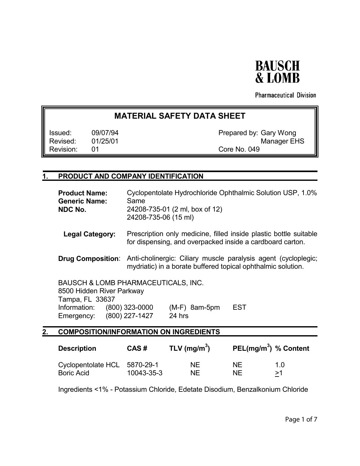

**Pharmaceutical Division** 

# **MATERIAL SAFETY DATA SHEET**

Revision: 01 Core No. 049

Issued: 09/07/94 **Prepared by: Gary Wong** Revised: 01/25/01 Manager EHS

## **1. PRODUCT AND COMPANY IDENTIFICATION**

|    | <b>Product Name:</b><br><b>Generic Name:</b><br>NDC No.                                                                                     | Cyclopentolate Hydrochloride Ophthalmic Solution USP, 1.0%<br>Same<br>24208-735-01 (2 ml, box of 12)<br>24208-735-06 (15 ml)<br>Prescription only medicine, filled inside plastic bottle suitable<br>for dispensing, and overpacked inside a cardboard carton. |                           |                        |                                   |  |
|----|---------------------------------------------------------------------------------------------------------------------------------------------|----------------------------------------------------------------------------------------------------------------------------------------------------------------------------------------------------------------------------------------------------------------|---------------------------|------------------------|-----------------------------------|--|
|    | <b>Legal Category:</b>                                                                                                                      |                                                                                                                                                                                                                                                                |                           |                        |                                   |  |
|    | <b>Drug Composition:</b>                                                                                                                    | Anti-cholinergic: Ciliary muscle paralysis agent (cycloplegic,<br>mydriatic) in a borate buffered topical ophthalmic solution.                                                                                                                                 |                           |                        |                                   |  |
|    | <b>BAUSCH &amp; LOMB PHARMACEUTICALS, INC.</b><br>8500 Hidden River Parkway<br>Tampa, FL 33637<br>Information:<br>Emergency: (800) 227-1427 | $(800)$ 323-0000                                                                                                                                                                                                                                               | $(M-F)$ 8am-5pm<br>24 hrs | <b>EST</b>             |                                   |  |
| 2. | <b>COMPOSITION/INFORMATION ON INGREDIENTS</b>                                                                                               |                                                                                                                                                                                                                                                                |                           |                        |                                   |  |
|    | <b>Description</b>                                                                                                                          | CAS#                                                                                                                                                                                                                                                           | TLV (mg/m <sup>3</sup> )  |                        | PEL(mg/m <sup>3</sup> ) % Content |  |
|    | Cyclopentolate HCL<br><b>Boric Acid</b>                                                                                                     | 5870-29-1<br>10043-35-3                                                                                                                                                                                                                                        | <b>NE</b><br><b>NE</b>    | <b>NE</b><br><b>NE</b> | 1.0<br>>1                         |  |

Ingredients <1% - Potassium Chloride, Edetate Disodium, Benzalkonium Chloride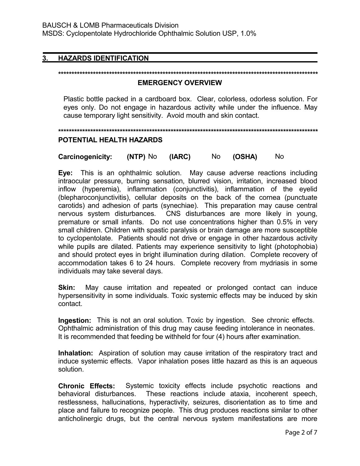## **3. HAZARDS IDENTIFICATION**

#### **\*\*\*\*\*\*\*\*\*\*\*\*\*\*\*\*\*\*\*\*\*\*\*\*\*\*\*\*\*\*\*\*\*\*\*\*\*\*\*\*\*\*\*\*\*\*\*\*\*\*\*\*\*\*\*\*\*\*\*\*\*\*\*\*\*\*\*\*\*\*\*\*\*\*\*\*\*\*\*\*\*\*\*\*\*\*\*\*\*\*\*\*\*\*\*\*\***

#### **EMERGENCY OVERVIEW**

 Plastic bottle packed in a cardboard box. Clear, colorless, odorless solution. For eyes only. Do not engage in hazardous activity while under the influence. May cause temporary light sensitivity. Avoid mouth and skin contact.

**\*\*\*\*\*\*\*\*\*\*\*\*\*\*\*\*\*\*\*\*\*\*\*\*\*\*\*\*\*\*\*\*\*\*\*\*\*\*\*\*\*\*\*\*\*\*\*\*\*\*\*\*\*\*\*\*\*\*\*\*\*\*\*\*\*\*\*\*\*\*\*\*\*\*\*\*\*\*\*\*\*\*\*\*\*\*\*\*\*\*\*\*\*\*\*\*\***

#### **POTENTIAL HEALTH HAZARDS**

**Carcinogenicity: (NTP)** No **(IARC)** No **(OSHA)** No

**Eye:** This is an ophthalmic solution. May cause adverse reactions including intraocular pressure, burning sensation, blurred vision, irritation, increased blood inflow (hyperemia), inflammation (conjunctivitis), inflammation of the eyelid (blepharoconjunctivitis), cellular deposits on the back of the cornea (punctuate carotids) and adhesion of parts (synechiae). This preparation may cause central nervous system disturbances. CNS disturbances are more likely in young, premature or small infants. Do not use concentrations higher than 0.5% in very small children. Children with spastic paralysis or brain damage are more susceptible to cyclopentolate. Patients should not drive or engage in other hazardous activity while pupils are dilated. Patients may experience sensitivity to light (photophobia) and should protect eyes in bright illumination during dilation. Complete recovery of accommodation takes 6 to 24 hours. Complete recovery from mydriasis in some individuals may take several days.

**Skin:** May cause irritation and repeated or prolonged contact can induce hypersensitivity in some individuals. Toxic systemic effects may be induced by skin contact.

**Ingestion:** This is not an oral solution. Toxic by ingestion. See chronic effects. Ophthalmic administration of this drug may cause feeding intolerance in neonates. It is recommended that feeding be withheld for four (4) hours after examination.

**Inhalation:** Aspiration of solution may cause irritation of the respiratory tract and induce systemic effects. Vapor inhalation poses little hazard as this is an aqueous solution.

**Chronic Effects:** Systemic toxicity effects include psychotic reactions and behavioral disturbances. These reactions include ataxia, incoherent speech, restlessness, hallucinations, hyperactivity, seizures, disorientation as to time and place and failure to recognize people. This drug produces reactions similar to other anticholinergic drugs, but the central nervous system manifestations are more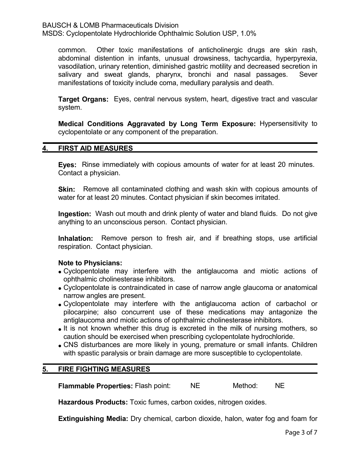BAUSCH & LOMB Pharmaceuticals Division

MSDS: Cyclopentolate Hydrochloride Ophthalmic Solution USP, 1.0%

common. Other toxic manifestations of anticholinergic drugs are skin rash, abdominal distention in infants, unusual drowsiness, tachycardia, hyperpyrexia, vasodilation, urinary retention, diminished gastric motility and decreased secretion in salivary and sweat glands, pharynx, bronchi and nasal passages. Sever manifestations of toxicity include coma, medullary paralysis and death.

**Target Organs:** Eyes, central nervous system, heart, digestive tract and vascular system.

**Medical Conditions Aggravated by Long Term Exposure:** Hypersensitivity to cyclopentolate or any component of the preparation.

#### **4. FIRST AID MEASURES**

**Eyes:** Rinse immediately with copious amounts of water for at least 20 minutes. Contact a physician.

**Skin:** Remove all contaminated clothing and wash skin with copious amounts of water for at least 20 minutes. Contact physician if skin becomes irritated.

**Ingestion:** Wash out mouth and drink plenty of water and bland fluids. Do not give anything to an unconscious person. Contact physician.

**Inhalation:** Remove person to fresh air, and if breathing stops, use artificial respiration. Contact physician.

#### **Note to Physicians:**

- Cyclopentolate may interfere with the antiglaucoma and miotic actions of ophthalmic cholinesterase inhibitors.
- Cyclopentolate is contraindicated in case of narrow angle glaucoma or anatomical narrow angles are present.
- Cyclopentolate may interfere with the antiglaucoma action of carbachol or pilocarpine; also concurrent use of these medications may antagonize the antiglaucoma and miotic actions of ophthalmic cholinesterase inhibitors.
- It is not known whether this drug is excreted in the milk of nursing mothers, so caution should be exercised when prescribing cyclopentolate hydrochloride.
- CNS disturbances are more likely in young, premature or small infants. Children with spastic paralysis or brain damage are more susceptible to cyclopentolate.

#### **5. FIRE FIGHTING MEASURES**

**Flammable Properties:** Flash point: NE Method: NE

**Hazardous Products:** Toxic fumes, carbon oxides, nitrogen oxides.

**Extinguishing Media:** Dry chemical, carbon dioxide, halon, water fog and foam for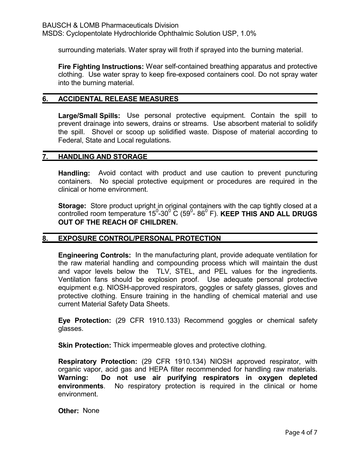surrounding materials. Water spray will froth if sprayed into the burning material.

**Fire Fighting Instructions:** Wear self-contained breathing apparatus and protective clothing. Use water spray to keep fire-exposed containers cool. Do not spray water into the burning material.

#### **6. ACCIDENTAL RELEASE MEASURES**

**Large/Small Spills:** Use personal protective equipment. Contain the spill to prevent drainage into sewers, drains or streams. Use absorbent material to solidify the spill. Shovel or scoop up solidified waste. Dispose of material according to Federal, State and Local regulations.

#### **7. HANDLING AND STORAGE**

**Handling:** Avoid contact with product and use caution to prevent puncturing containers. No special protective equipment or procedures are required in the clinical or home environment.

**Storage:** Store product upright in original containers with the cap tightly closed at a controlled room temperature 15<sup>0</sup>-30<sup>0</sup> C (59<sup>0</sup>-86<sup>0</sup> F). **KEEP THIS AND ALL DRUGS OUT OF THE REACH OF CHILDREN.**

#### **EXPOSURE CONTROL/PERSONAL PROTECTION**

**Engineering Controls:** In the manufacturing plant, provide adequate ventilation for the raw material handling and compounding process which will maintain the dust and vapor levels below the TLV, STEL, and PEL values for the ingredients. Ventilation fans should be explosion proof. Use adequate personal protective equipment e.g. NIOSH-approved respirators, goggles or safety glasses, gloves and protective clothing. Ensure training in the handling of chemical material and use current Material Safety Data Sheets.

**Eye Protection:** (29 CFR 1910.133) Recommend goggles or chemical safety glasses.

**Skin Protection:** Thick impermeable gloves and protective clothing.

**Respiratory Protection:** (29 CFR 1910.134) NIOSH approved respirator, with organic vapor, acid gas and HEPA filter recommended for handling raw materials. **Warning: Do not use air purifying respirators in oxygen depleted environments**. No respiratory protection is required in the clinical or home environment.

**Other:** None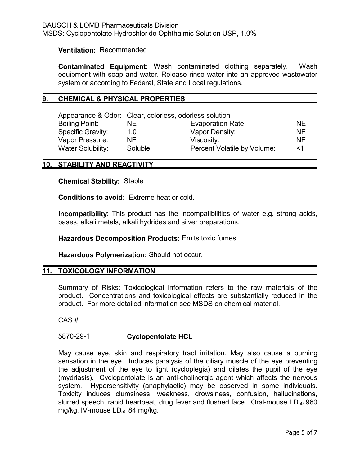#### **Ventilation:** Recommended

**Contaminated Equipment:** Wash contaminated clothing separately. Wash equipment with soap and water. Release rinse water into an approved wastewater system or according to Federal, State and Local regulations.

#### **9. CHEMICAL & PHYSICAL PROPERTIES**

|                          | Appearance & Odor: Clear, colorless, odorless solution |                             |           |  |
|--------------------------|--------------------------------------------------------|-----------------------------|-----------|--|
| <b>Boiling Point:</b>    | NE.                                                    | Evaporation Rate:           | <b>NF</b> |  |
| <b>Specific Gravity:</b> | 1.0                                                    | Vapor Density:              | NF.       |  |
| Vapor Pressure:          | NF.                                                    | Viscosity:                  | NE.       |  |
| <b>Water Solubility:</b> | Soluble                                                | Percent Volatile by Volume: | <1        |  |

#### **10. STABILITY AND REACTIVITY**

**Chemical Stability:** Stable

**Conditions to avoid:** Extreme heat or cold.

**Incompatibility**: This product has the incompatibilities of water e.g. strong acids, bases, alkali metals, alkali hydrides and silver preparations.

**Hazardous Decomposition Products:** Emits toxic fumes.

**Hazardous Polymerization:** Should not occur.

## **11. TOXICOLOGY INFORMATION**

Summary of Risks: Toxicological information refers to the raw materials of the product. Concentrations and toxicological effects are substantially reduced in the product. For more detailed information see MSDS on chemical material.

CAS #

## 5870-29-1 **Cyclopentolate HCL**

May cause eye, skin and respiratory tract irritation. May also cause a burning sensation in the eye. Induces paralysis of the ciliary muscle of the eye preventing the adjustment of the eye to light (cycloplegia) and dilates the pupil of the eye (mydriasis). Cyclopentolate is an anti-cholinergic agent which affects the nervous system. Hypersensitivity (anaphylactic) may be observed in some individuals. Toxicity induces clumsiness, weakness, drowsiness, confusion, hallucinations, slurred speech, rapid heartbeat, drug fever and flushed face. Oral-mouse  $LD_{50}$  960 mg/kg, IV-mouse  $LD_{50}$  84 mg/kg.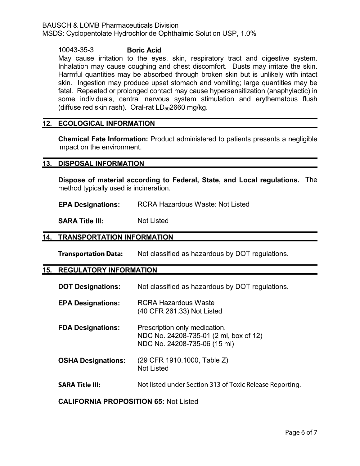BAUSCH & LOMB Pharmaceuticals Division

MSDS: Cyclopentolate Hydrochloride Ophthalmic Solution USP, 1.0%

10043-35-3 **Boric Acid**

May cause irritation to the eyes, skin, respiratory tract and digestive system. Inhalation may cause coughing and chest discomfort. Dusts may irritate the skin. Harmful quantities may be absorbed through broken skin but is unlikely with intact skin. Ingestion may produce upset stomach and vomiting; large quantities may be fatal. Repeated or prolonged contact may cause hypersensitization (anaphylactic) in some individuals, central nervous system stimulation and erythematous flush (diffuse red skin rash). Oral-rat  $LD_{50}2660$  mg/kg.

#### **12. ECOLOGICAL INFORMATION**

**Chemical Fate Information:** Product administered to patients presents a negligible impact on the environment.

#### **13. DISPOSAL INFORMATION**

**Dispose of material according to Federal, State, and Local regulations.** The method typically used is incineration.

**EPA Designations:** RCRA Hazardous Waste: Not Listed

**SARA Title III:** Not Listed

#### **14. TRANSPORTATION INFORMATION**

**Transportation Data:** Not classified as hazardous by DOT regulations.

#### **15. REGULATORY INFORMATION**

| <b>DOT Designations:</b>                     | Not classified as hazardous by DOT regulations.                                                         |  |  |  |
|----------------------------------------------|---------------------------------------------------------------------------------------------------------|--|--|--|
| <b>EPA Designations:</b>                     | <b>RCRA Hazardous Waste</b><br>(40 CFR 261.33) Not Listed                                               |  |  |  |
| <b>FDA Designations:</b>                     | Prescription only medication.<br>NDC No. 24208-735-01 (2 ml, box of 12)<br>NDC No. 24208-735-06 (15 ml) |  |  |  |
| <b>OSHA Designations:</b>                    | (29 CFR 1910.1000, Table Z)<br><b>Not Listed</b>                                                        |  |  |  |
| <b>SARA Title III:</b>                       | Not listed under Section 313 of Toxic Release Reporting.                                                |  |  |  |
| <b>CALIFORNIA PROPOSITION 65: Not Listed</b> |                                                                                                         |  |  |  |